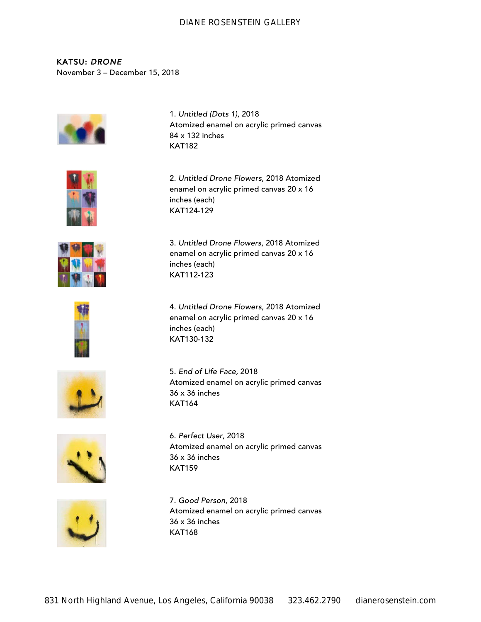KATSU: *DRONE* November 3 – December 15, 2018



1. *Untitled (Dots 1)*, 2018 Atomized enamel on acrylic primed canvas 84 x 132 inches KAT182



enamel on acrylic primed canvas 20 x 16 inches (each) KAT124-129

3. *Untitled Drone Flowers*, 2018 Atomized

2. *Untitled Drone Flowers*, 2018 Atomized



enamel on acrylic primed canvas 20 x 16 inches (each) KAT112-123



4. *Untitled Drone Flowers*, 2018 Atomized enamel on acrylic primed canvas 20 x 16 inches (each) KAT130-132



5. *End of Life Face,* 2018 Atomized enamel on acrylic primed canvas 36 x 36 inches KAT164



6. *Perfect User,* 2018 Atomized enamel on acrylic primed canvas 36 x 36 inches KAT159



7. *Good Person,* 2018 Atomized enamel on acrylic primed canvas 36 x 36 inches KAT168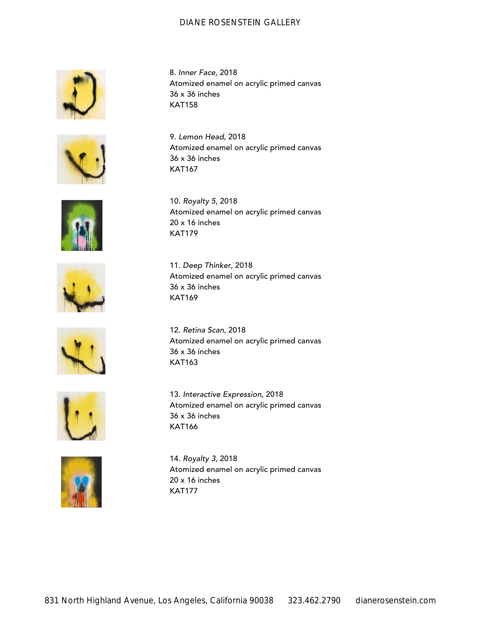8. *Inner Face,* 2018

10. *Royalty 5*, 2018

20 x 16 inches KAT179

36 x 36 inches KAT158





9. *Lemon Head,* 2018 Atomized enamel on acrylic primed canvas 36 x 36 inches KAT167

Atomized enamel on acrylic primed canvas

Atomized enamel on acrylic primed canvas





11. *Deep Thinker,* 2018 Atomized enamel on acrylic primed canvas 36 x 36 inches KAT169



12. *Retina Scan*, 2018 Atomized enamel on acrylic primed canvas 36 x 36 inches KAT163





13. *Interactive Expression,* 2018 Atomized enamel on acrylic primed canvas 36 x 36 inches KAT166

14. *Royalty 3*, 2018 Atomized enamel on acrylic primed canvas 20 x 16 inches KAT177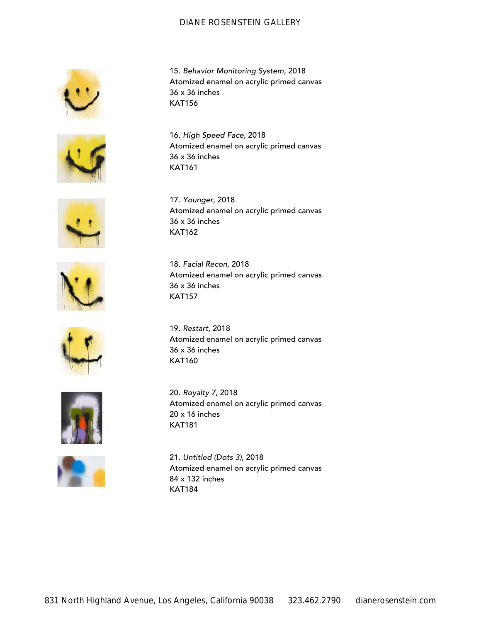15. *Behavior Monitoring System,* 2018 Atomized enamel on acrylic primed canvas

Atomized enamel on acrylic primed canvas

Atomized enamel on acrylic primed canvas

Atomized enamel on acrylic primed canvas

36 x 36 inches KAT156

36 x 36 inches KAT161

17. *Younger,* 2018

18. *Facial Recon,* 2018

36 x 36 inches KAT162

36 x 36 inches

KAT157

16. *High Speed Face,* 2018







19. *Restart,* 2018 Atomized enamel on acrylic primed canvas 36 x 36 inches KAT160



20. *Royalty 7*, 2018 Atomized enamel on acrylic primed canvas 20 x 16 inches KAT181

21. *Untitled (Dots 3)*, 2018 Atomized enamel on acrylic primed canvas 84 x 132 inches KAT184